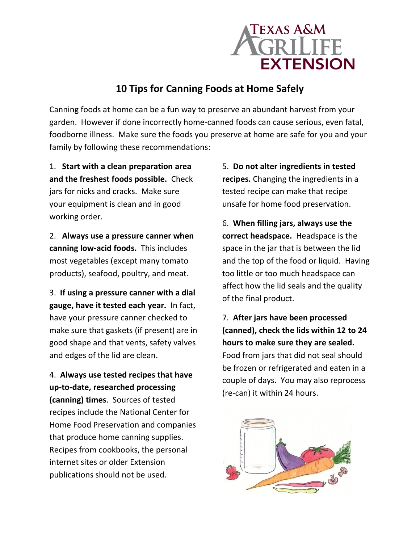

## **10 Tips for Canning Foods at Home Safely**

Canning foods at home can be a fun way to preserve an abundant harvest from your garden. However if done incorrectly home-canned foods can cause serious, even fatal, foodborne illness. Make sure the foods you preserve at home are safe for you and your family by following these recommendations:

1. **Start with a clean preparation area and the freshest foods possible.** Check jars for nicks and cracks. Make sure your equipment is clean and in good working order.

2. **Always use a pressure canner when canning low-acid foods.** This includes most vegetables (except many tomato products), seafood, poultry, and meat.

3. **If using a pressure canner with a dial gauge, have it tested each year.** In fact, have your pressure canner checked to make sure that gaskets (if present) are in good shape and that vents, safety valves and edges of the lid are clean.

4. **Always use tested recipes that have up-to-date, researched processing (canning) times**. Sources of tested recipes include the National Center for Home Food Preservation and companies that produce home canning supplies. Recipes from cookbooks, the personal internet sites or older Extension publications should not be used.

5. **Do not alter ingredients in tested recipes.** Changing the ingredients in a tested recipe can make that recipe unsafe for home food preservation.

6. **When filling jars, always use the correct headspace.** Headspace is the space in the jar that is between the lid and the top of the food or liquid. Having too little or too much headspace can affect how the lid seals and the quality of the final product.

7. **After jars have been processed (canned), check the lids within 12 to 24 hours to make sure they are sealed.** Food from jars that did not seal should be frozen or refrigerated and eaten in a couple of days. You may also reprocess (re-can) it within 24 hours.